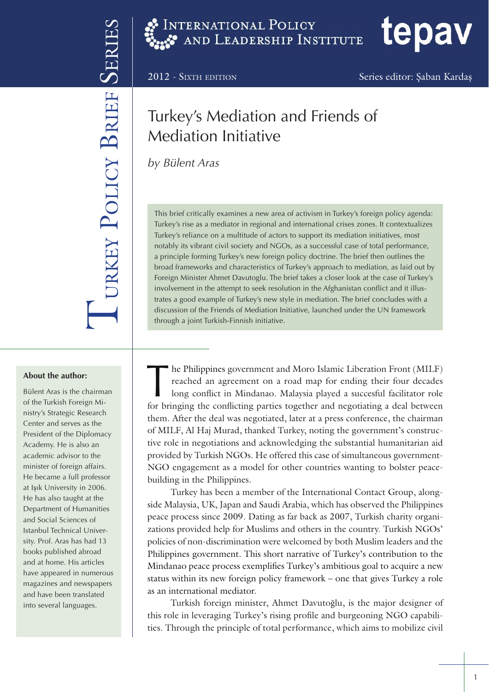2012 - SIXTH EDITION Series editor: Şaban Kardaş

tepav

# Turkey's Mediation and Friends of Mediation Initiative

*by Bülent Aras*

URKEY POLICY BRIEF

URKEY POLICY BRIEF SERIE

This brief critically examines a new area of activism in Turkey's foreign policy agenda: Turkey's rise as a mediator in regional and international crises zones. It contextualizes Turkey's reliance on a multitude of actors to support its mediation initiatives, most notably its vibrant civil society and NGOs, as a successful case of total performance, a principle forming Turkey's new foreign policy doctrine. The brief then outlines the broad frameworks and characteristics of Turkey's approach to mediation, as laid out by Foreign Minister Ahmet Davutoglu. The brief takes a closer look at the case of Turkey's involvement in the attempt to seek resolution in the Afghanistan conflict and it illustrates a good example of Turkey's new style in mediation. The brief concludes with a discussion of the Friends of Mediation Initiative, launched under the UN framework through a joint Turkish-Finnish initiative.

**About the author:**

Bülent Aras is the chairman of the Turkish Foreign Ministry's Strategic Research Center and serves as the President of the Diplomacy Academy. He is also an academic advisor to the minister of foreign affairs. He became a full professor at Işık University in 2006. He has also taught at the Department of Humanities and Social Sciences of Istanbul Technical University. Prof. Aras has had 13 books published abroad and at home. His articles have appeared in numerous magazines and newspapers and have been translated into several languages.

The Philippines government and Moro Islamic Liberation Front (MILF)<br>reached an agreement on a road map for ending their four decades<br>long conflict in Mindanao. Malaysia played a succesful facilitator role<br>for bringing the reached an agreement on a road map for ending their four decades long conflict in Mindanao. Malaysia played a succesful facilitator role for bringing the conflicting parties together and negotiating a deal between them. After the deal was negotiated, later at a press conference, the chairman of MILF, Al Haj Murad, thanked Turkey, noting the government's constructive role in negotiations and acknowledging the substantial humanitarian aid provided by Turkish NGOs. He offered this case of simultaneous government-NGO engagement as a model for other countries wanting to bolster peacebuilding in the Philippines.

Turkey has been a member of the International Contact Group, alongside Malaysia, UK, Japan and Saudi Arabia, which has observed the Philippines peace process since 2009. Dating as far back as 2007, Turkish charity organizations provided help for Muslims and others in the country. Turkish NGOs' policies of non-discrimination were welcomed by both Muslim leaders and the Philippines government. This short narrative of Turkey's contribution to the Mindanao peace process exemplifies Turkey's ambitious goal to acquire a new status within its new foreign policy framework – one that gives Turkey a role as an international mediator.

Turkish foreign minister, Ahmet Davutoğlu, is the major designer of this role in leveraging Turkey's rising profile and burgeoning NGO capabilities. Through the principle of total performance, which aims to mobilize civil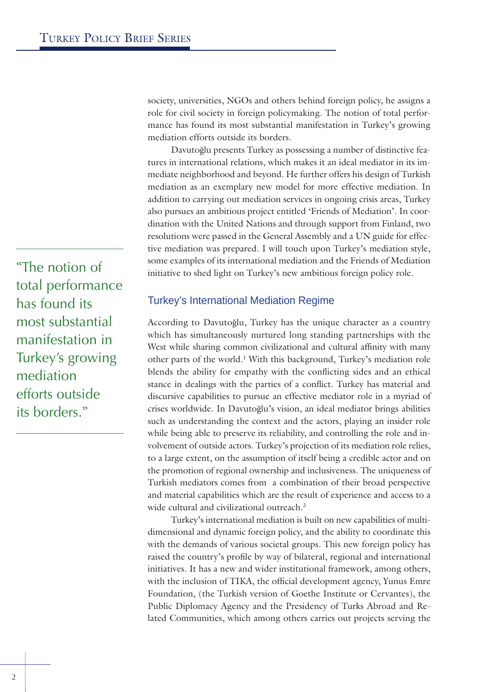society, universities, NGOs and others behind foreign policy, he assigns a role for civil society in foreign policymaking. The notion of total performance has found its most substantial manifestation in Turkey's growing mediation efforts outside its borders.

Davutoğlu presents Turkey as possessing a number of distinctive features in international relations, which makes it an ideal mediator in its immediate neighborhood and beyond. He further offers his design of Turkish mediation as an exemplary new model for more effective mediation. In addition to carrying out mediation services in ongoing crisis areas, Turkey also pursues an ambitious project entitled 'Friends of Mediation'. In coordination with the United Nations and through support from Finland, two resolutions were passed in the General Assembly and a UN guide for effective mediation was prepared. I will touch upon Turkey's mediation style, some examples of its international mediation and the Friends of Mediation initiative to shed light on Turkey's new ambitious foreign policy role.

Turkey's International Mediation Regime

According to Davutoğlu, Turkey has the unique character as a country which has simultaneously nurtured long standing partnerships with the West while sharing common civilizational and cultural affinity with many other parts of the world.<sup>1</sup> With this background, Turkey's mediation role blends the ability for empathy with the conflicting sides and an ethical stance in dealings with the parties of a conflict. Turkey has material and discursive capabilities to pursue an effective mediator role in a myriad of crises worldwide. In Davutoğlu's vision, an ideal mediator brings abilities such as understanding the context and the actors, playing an insider role while being able to preserve its reliability, and controlling the role and involvement of outside actors. Turkey's projection of its mediation role relies, to a large extent, on the assumption of itself being a credible actor and on the promotion of regional ownership and inclusiveness. The uniqueness of Turkish mediators comes from a combination of their broad perspective and material capabilities which are the result of experience and access to a wide cultural and civilizational outreach.<sup>2</sup>

Turkey's international mediation is built on new capabilities of multidimensional and dynamic foreign policy, and the ability to coordinate this with the demands of various societal groups. This new foreign policy has raised the country's profile by way of bilateral, regional and international initiatives. It has a new and wider institutional framework, among others, with the inclusion of TIKA, the official development agency, Yunus Emre Foundation, (the Turkish version of Goethe Institute or Cervantes), the Public Diplomacy Agency and the Presidency of Turks Abroad and Related Communities, which among others carries out projects serving the

"The notion of total performance has found its most substantial manifestation in Turkey's growing mediation efforts outside its borders."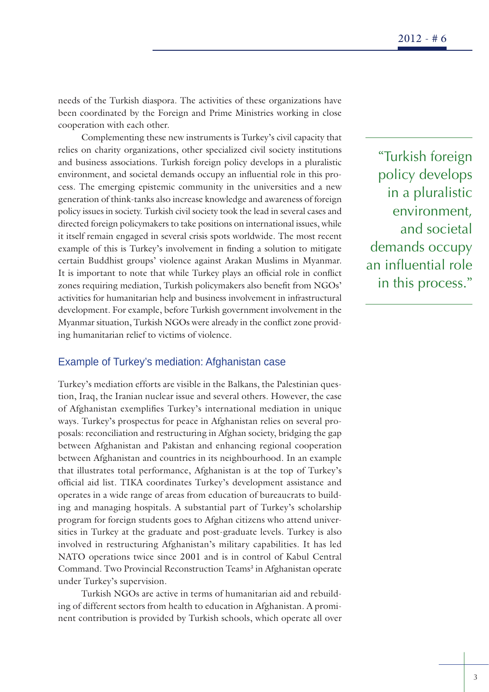needs of the Turkish diaspora. The activities of these organizations have been coordinated by the Foreign and Prime Ministries working in close cooperation with each other.

Complementing these new instruments is Turkey's civil capacity that relies on charity organizations, other specialized civil society institutions and business associations. Turkish foreign policy develops in a pluralistic environment, and societal demands occupy an influential role in this process. The emerging epistemic community in the universities and a new generation of think-tanks also increase knowledge and awareness of foreign policy issues in society. Turkish civil society took the lead in several cases and directed foreign policymakers to take positions on international issues, while it itself remain engaged in several crisis spots worldwide. The most recent example of this is Turkey's involvement in finding a solution to mitigate certain Buddhist groups' violence against Arakan Muslims in Myanmar. It is important to note that while Turkey plays an official role in conflict zones requiring mediation, Turkish policymakers also benefit from NGOs' activities for humanitarian help and business involvement in infrastructural development. For example, before Turkish government involvement in the Myanmar situation, Turkish NGOs were already in the conflict zone providing humanitarian relief to victims of violence.

## Example of Turkey's mediation: Afghanistan case

Turkey's mediation efforts are visible in the Balkans, the Palestinian question, Iraq, the Iranian nuclear issue and several others. However, the case of Afghanistan exemplifies Turkey's international mediation in unique ways. Turkey's prospectus for peace in Afghanistan relies on several proposals: reconciliation and restructuring in Afghan society, bridging the gap between Afghanistan and Pakistan and enhancing regional cooperation between Afghanistan and countries in its neighbourhood. In an example that illustrates total performance, Afghanistan is at the top of Turkey's official aid list. TIKA coordinates Turkey's development assistance and operates in a wide range of areas from education of bureaucrats to building and managing hospitals. A substantial part of Turkey's scholarship program for foreign students goes to Afghan citizens who attend universities in Turkey at the graduate and post-graduate levels. Turkey is also involved in restructuring Afghanistan's military capabilities. It has led NATO operations twice since 2001 and is in control of Kabul Central Command. Two Provincial Reconstruction Teams<sup>3</sup> in Afghanistan operate under Turkey's supervision.

Turkish NGOs are active in terms of humanitarian aid and rebuilding of different sectors from health to education in Afghanistan. A prominent contribution is provided by Turkish schools, which operate all over

"Turkish foreign policy develops in a pluralistic environment, and societal demands occupy an influential role in this process."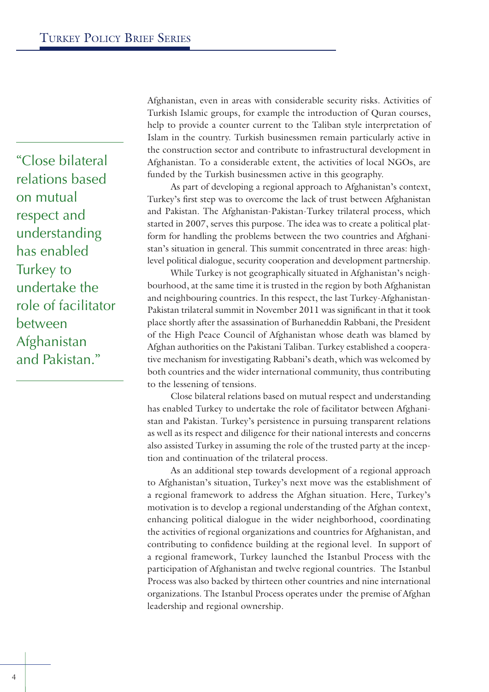"Close bilateral relations based on mutual respect and understanding has enabled Turkey to undertake the role of facilitator between Afghanistan and Pakistan."

Afghanistan, even in areas with considerable security risks. Activities of Turkish Islamic groups, for example the introduction of Quran courses, help to provide a counter current to the Taliban style interpretation of Islam in the country. Turkish businessmen remain particularly active in the construction sector and contribute to infrastructural development in Afghanistan. To a considerable extent, the activities of local NGOs, are funded by the Turkish businessmen active in this geography.

As part of developing a regional approach to Afghanistan's context, Turkey's first step was to overcome the lack of trust between Afghanistan and Pakistan. The Afghanistan-Pakistan-Turkey trilateral process, which started in 2007, serves this purpose. The idea was to create a political platform for handling the problems between the two countries and Afghanistan's situation in general. This summit concentrated in three areas: highlevel political dialogue, security cooperation and development partnership.

While Turkey is not geographically situated in Afghanistan's neighbourhood, at the same time it is trusted in the region by both Afghanistan and neighbouring countries. In this respect, the last Turkey-Afghanistan-Pakistan trilateral summit in November 2011 was significant in that it took place shortly after the assassination of Burhaneddin Rabbani, the President of the High Peace Council of Afghanistan whose death was blamed by Afghan authorities on the Pakistani Taliban. Turkey established a cooperative mechanism for investigating Rabbani's death, which was welcomed by both countries and the wider international community, thus contributing to the lessening of tensions.

Close bilateral relations based on mutual respect and understanding has enabled Turkey to undertake the role of facilitator between Afghanistan and Pakistan. Turkey's persistence in pursuing transparent relations as well as its respect and diligence for their national interests and concerns also assisted Turkey in assuming the role of the trusted party at the inception and continuation of the trilateral process.

As an additional step towards development of a regional approach to Afghanistan's situation, Turkey's next move was the establishment of a regional framework to address the Afghan situation. Here, Turkey's motivation is to develop a regional understanding of the Afghan context, enhancing political dialogue in the wider neighborhood, coordinating the activities of regional organizations and countries for Afghanistan, and contributing to confidence building at the regional level. In support of a regional framework, Turkey launched the Istanbul Process with the participation of Afghanistan and twelve regional countries. The Istanbul Process was also backed by thirteen other countries and nine international organizations. The Istanbul Process operates under the premise of Afghan leadership and regional ownership.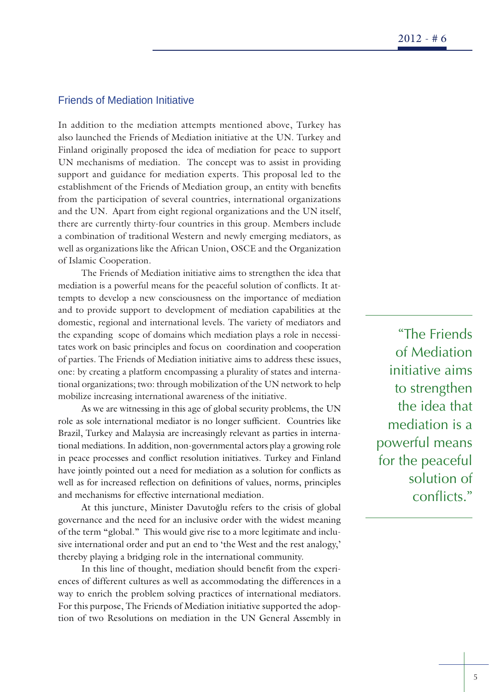# Friends of Mediation Initiative

In addition to the mediation attempts mentioned above, Turkey has also launched the Friends of Mediation initiative at the UN. Turkey and Finland originally proposed the idea of mediation for peace to support UN mechanisms of mediation. The concept was to assist in providing support and guidance for mediation experts. This proposal led to the establishment of the Friends of Mediation group, an entity with benefits from the participation of several countries, international organizations and the UN. Apart from eight regional organizations and the UN itself, there are currently thirty-four countries in this group. Members include a combination of traditional Western and newly emerging mediators, as well as organizations like the African Union, OSCE and the Organization of Islamic Cooperation.

The Friends of Mediation initiative aims to strengthen the idea that mediation is a powerful means for the peaceful solution of conflicts. It attempts to develop a new consciousness on the importance of mediation and to provide support to development of mediation capabilities at the domestic, regional and international levels. The variety of mediators and the expanding scope of domains which mediation plays a role in necessitates work on basic principles and focus on coordination and cooperation of parties. The Friends of Mediation initiative aims to address these issues, one: by creating a platform encompassing a plurality of states and international organizations; two: through mobilization of the UN network to help mobilize increasing international awareness of the initiative.

As we are witnessing in this age of global security problems, the UN role as sole international mediator is no longer sufficient. Countries like Brazil, Turkey and Malaysia are increasingly relevant as parties in international mediations. In addition, non-governmental actors play a growing role in peace processes and conflict resolution initiatives. Turkey and Finland have jointly pointed out a need for mediation as a solution for conflicts as well as for increased reflection on definitions of values, norms, principles and mechanisms for effective international mediation.

At this juncture, Minister Davutoğlu refers to the crisis of global governance and the need for an inclusive order with the widest meaning of the term "global." This would give rise to a more legitimate and inclusive international order and put an end to 'the West and the rest analogy,' thereby playing a bridging role in the international community.

In this line of thought, mediation should benefit from the experiences of different cultures as well as accommodating the differences in a way to enrich the problem solving practices of international mediators. For this purpose, The Friends of Mediation initiative supported the adoption of two Resolutions on mediation in the UN General Assembly in

"The Friends of Mediation initiative aims to strengthen the idea that mediation is a powerful means for the peaceful solution of conflicts."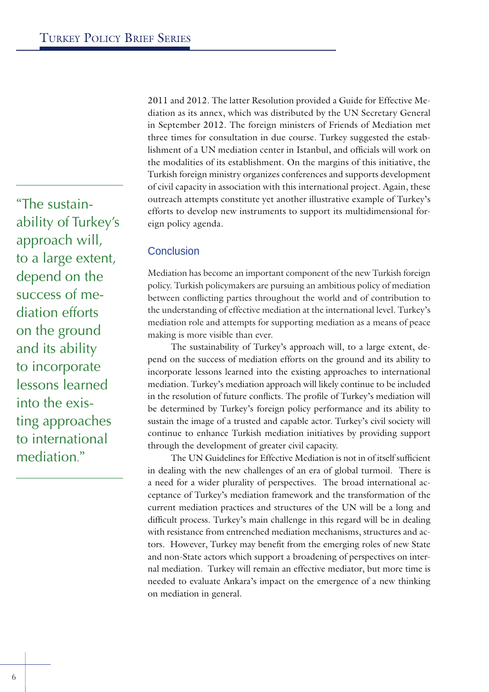2011 and 2012. The latter Resolution provided a Guide for Effective Mediation as its annex, which was distributed by the UN Secretary General in September 2012. The foreign ministers of Friends of Mediation met three times for consultation in due course. Turkey suggested the establishment of a UN mediation center in Istanbul, and officials will work on the modalities of its establishment. On the margins of this initiative, the Turkish foreign ministry organizes conferences and supports development of civil capacity in association with this international project. Again, these outreach attempts constitute yet another illustrative example of Turkey's efforts to develop new instruments to support its multidimensional foreign policy agenda.

# Conclusion

Mediation has become an important component of the new Turkish foreign policy. Turkish policymakers are pursuing an ambitious policy of mediation between conflicting parties throughout the world and of contribution to the understanding of effective mediation at the international level. Turkey's mediation role and attempts for supporting mediation as a means of peace making is more visible than ever.

The sustainability of Turkey's approach will, to a large extent, depend on the success of mediation efforts on the ground and its ability to incorporate lessons learned into the existing approaches to international mediation. Turkey's mediation approach will likely continue to be included in the resolution of future conflicts. The profile of Turkey's mediation will be determined by Turkey's foreign policy performance and its ability to sustain the image of a trusted and capable actor. Turkey's civil society will continue to enhance Turkish mediation initiatives by providing support through the development of greater civil capacity.

The UN Guidelines for Effective Mediation is not in of itself sufficient in dealing with the new challenges of an era of global turmoil. There is a need for a wider plurality of perspectives. The broad international acceptance of Turkey's mediation framework and the transformation of the current mediation practices and structures of the UN will be a long and difficult process. Turkey's main challenge in this regard will be in dealing with resistance from entrenched mediation mechanisms, structures and actors. However, Turkey may benefit from the emerging roles of new State and non-State actors which support a broadening of perspectives on internal mediation. Turkey will remain an effective mediator, but more time is needed to evaluate Ankara's impact on the emergence of a new thinking on mediation in general.

"The sustainability of Turkey's approach will, to a large extent, depend on the success of mediation efforts on the ground and its ability to incorporate lessons learned into the existing approaches to international mediation"